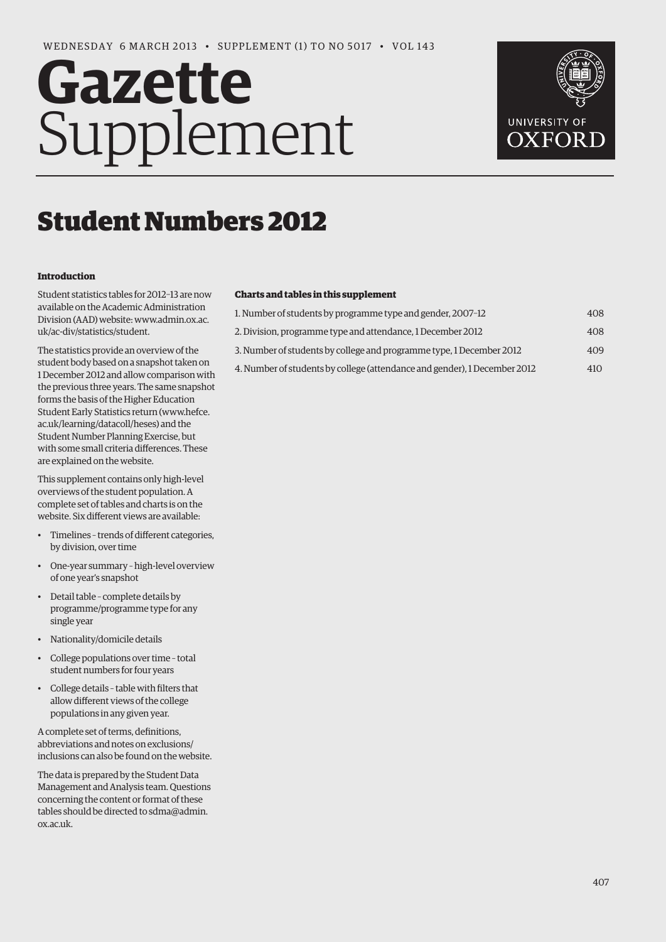# **Gazette** Supplement



# Student Numbers 2012

#### **Introduction**

Student statistics tables for 2012–13 are now available on the Academic Administration [Division \(AAD\) website: www.admin.ox.ac.](www.admin.ox.ac.uk/ac-div/statistics/student) uk/ac-div/statistics/student.

The statistics provide an overview of the student body based on a snapshot taken on 1 December 2012 and allow comparison with the previous three years. The same snapshot forms the basis of the Higher Education [Student Early Statistics return \(www.hefce.](www.hefce.ac.uk/learning/datacoll/heses) ac.uk/learning/datacoll/heses) and the Student Number Planning Exercise, but with some small criteria differences. These are explained on thewebsite.

This supplement contains only high-level overviews of the student population. A complete set of tables and charts is on the website. Six different views are available:

- Timelines trends of different categories, by division, over time
- One-year summary high-level overview of one year's snapshot
- Detail table complete details by programme/programme type for any single year
- Nationality/domicile details
- College populations over time total student numbers for four years
- College details table with filters that allow different views of the college populations in any given year.

A complete set of terms, definitions, abbreviations and notes on exclusions/ inclusions can also be found on the website.

The data is prepared by the Student Data Management and Analysis team. Questions concerning the content or format of these [tables should be directed to sdma@admin.](mailto:sdma@admin.ox.ac.uk) ox.ac.uk.

### **Charts and tables in this supplement**

| 1. Number of students by programme type and gender, 2007-12               | 408 |
|---------------------------------------------------------------------------|-----|
| 2. Division, programme type and attendance, 1 December 2012               | 408 |
| 3. Number of students by college and programme type, 1 December 2012      | 409 |
| 4. Number of students by college (attendance and gender), 1 December 2012 | 410 |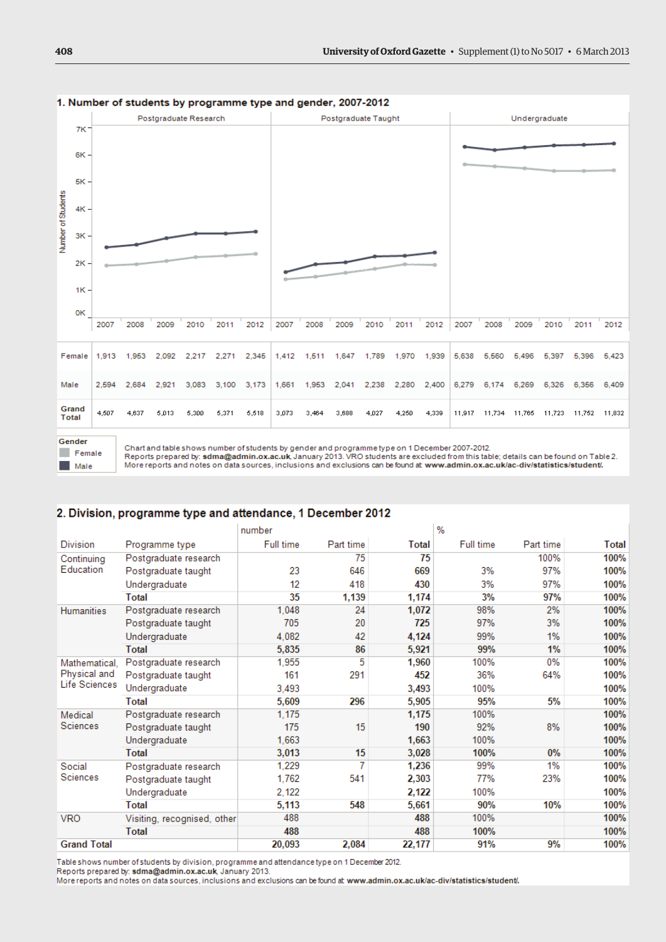

#### 1. Number of students by programme type and gender, 2007-2012



Chart and table shows number of students by gender and programme type on 1 December 2007-2012.<br>Reports prepared by: sdma@admin.ox.ac.uk, January 2013. VRO students are excluded from this table; details can be found on Tabl More reports and notes on data sources, inclusions and exclusions can be found at www.admin.ox.ac.uk/ac-div/statistics/student/.

# 2. Division, programme type and attendance, 1 December 2012

|                         |                             | number    |           |        | $\%$      |           |       |
|-------------------------|-----------------------------|-----------|-----------|--------|-----------|-----------|-------|
| <b>Division</b>         | Programme type              | Full time | Part time | Total  | Full time | Part time | Total |
| Continuing<br>Education | Postgraduate research       |           | 75        | 75     |           | 100%      | 100%  |
|                         | Postgraduate taught         | 23        | 646       | 669    | 3%        | 97%       | 100%  |
|                         | Undergraduate               | 12        | 418       | 430    | 3%        | 97%       | 100%  |
|                         | <b>Total</b>                | 35        | 1.139     | 1,174  | 3%        | 97%       | 100%  |
| <b>Humanities</b>       | Postgraduate research       | 1.048     | 24        | 1,072  | 98%       | 2%        | 100%  |
|                         | Postgraduate taught         | 705       | 20        | 725    | 97%       | 3%        | 100%  |
|                         | Undergraduate               | 4.082     | 42        | 4,124  | 99%       | 1%        | 100%  |
|                         | <b>Total</b>                | 5.835     | 86        | 5,921  | 99%       | 1%        | 100%  |
| Mathematical.           | Postgraduate research       | 1.955     | 5         | 1,960  | 100%      | 0%        | 100%  |
| Physical and            | Postgraduate taught         | 161       | 291       | 452    | 36%       | 64%       | 100%  |
| Life Sciences           | Undergraduate               | 3.493     |           | 3,493  | 100%      |           | 100%  |
|                         | Total                       | 5,609     | 296       | 5,905  | 95%       | 5%        | 100%  |
| Medical                 | Postgraduate research       | 1,175     |           | 1,175  | 100%      |           | 100%  |
| Sciences                | Postgraduate taught         | 175       | 15        | 190    | 92%       | 8%        | 100%  |
|                         | Undergraduate               | 1.663     |           | 1,663  | 100%      |           | 100%  |
|                         | <b>Total</b>                | 3.013     | 15        | 3,028  | 100%      | 0%        | 100%  |
| Social<br>Sciences      | Postgraduate research       | 1.229     | 7         | 1,236  | 99%       | 1%        | 100%  |
|                         | Postgraduate taught         | 1.762     | 541       | 2,303  | 77%       | 23%       | 100%  |
|                         | Undergraduate               | 2.122     |           | 2,122  | 100%      |           | 100%  |
|                         | Total                       | 5,113     | 548       | 5,661  | 90%       | 10%       | 100%  |
| <b>VRO</b>              | Visiting, recognised, other | 488       |           | 488    | 100%      |           | 100%  |
|                         | <b>Total</b>                | 488       |           | 488    | 100%      |           | 100%  |
| <b>Grand Total</b>      |                             | 20,093    | 2,084     | 22,177 | 91%       | 9%        | 100%  |

Table shows number of students by division, programme and attendance type on 1 December 2012.

Reports prepared by: sdma@admin.ox.ac.uk, January 2013.

More reports and notes on data sources, inclusions and exclusions can be found at www.admin.ox.ac.uk/ac-div/statistics/student/.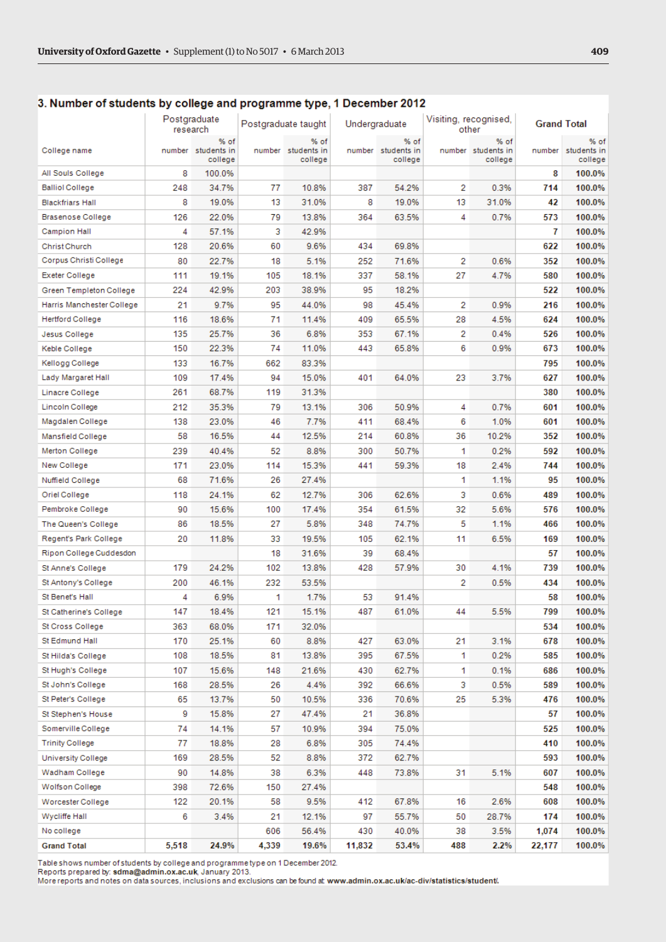Postgraduate

research

| College name              |     | % of<br>number students in<br>college |     | % of<br>number students in<br>college |     | % of<br>number students in<br>college |    | % of<br>number students in<br>college | number | % of<br>students in<br>college |
|---------------------------|-----|---------------------------------------|-----|---------------------------------------|-----|---------------------------------------|----|---------------------------------------|--------|--------------------------------|
| All Souls College         | 8   | 100.0%                                |     |                                       |     |                                       |    |                                       | 8      | 100.0%                         |
| <b>Balliol College</b>    | 248 | 34.7%                                 | 77  | 10.8%                                 | 387 | 54.2%                                 | 2  | 0.3%                                  | 714    | 100.0%                         |
| <b>Blackfriars Hall</b>   | 8   | 19.0%                                 | 13  | 31.0%                                 | 8   | 19.0%                                 | 13 | 31.0%                                 | 42     | 100.0%                         |
| Brasenose College         | 126 | 22.0%                                 | 79  | 13.8%                                 | 364 | 63.5%                                 | 4  | 0.7%                                  | 573    | 100.0%                         |
| Campion Hall              | 4   | 57.1%                                 | з   | 42.9%                                 |     |                                       |    |                                       | 7      | 100.0%                         |
| Christ Church             | 128 | 20.6%                                 | 60  | 9.6%                                  | 434 | 69.8%                                 |    |                                       | 622    | 100.0%                         |
| Corpus Christi College    | 80  | 22.7%                                 | 18  | 5.1%                                  | 252 | 71.6%                                 | 2  | 0.6%                                  | 352    | 100.0%                         |
| Exeter College            | 111 | 19.1%                                 | 105 | 18.1%                                 | 337 | 58.1%                                 | 27 | 4.7%                                  | 580    | 100.0%                         |
| Green Templeton College   | 224 | 42.9%                                 | 203 | 38.9%                                 | 95  | 18.2%                                 |    |                                       | 522    | 100.0%                         |
| Harris Manchester College | 21  | 9.7%                                  | 95  | 44.0%                                 | 98  | 45.4%                                 | 2  | 0.9%                                  | 216    | 100.0%                         |
| Hertford College          | 116 | 18.6%                                 | 71  | 11.4%                                 | 409 | 65.5%                                 | 28 | 4.5%                                  | 624    | 100.0%                         |
| Jesus College             | 135 | 25.7%                                 | 36  | 6.8%                                  | 353 | 67.1%                                 | 2  | 0.4%                                  | 526    | 100.0%                         |
| Keble College             | 150 | 22.3%                                 | 74  | 11.0%                                 | 443 | 65.8%                                 | 6  | 0.9%                                  | 673    | 100.0%                         |
| Kellogg College           | 133 | 16.7%                                 | 662 | 83.3%                                 |     |                                       |    |                                       | 795    | 100.0%                         |
| Lady Margaret Hall        | 109 | 17.4%                                 | 94  | 15.0%                                 | 401 | 64.0%                                 | 23 | 3.7%                                  | 627    | 100.0%                         |
| Linacre College           | 261 | 68.7%                                 | 119 | 31.3%                                 |     |                                       |    |                                       | 380    | 100.0%                         |
| Lincoln College           | 212 | 35.3%                                 | 79  | 13.1%                                 | 306 | 50.9%                                 | 4  | 0.7%                                  | 601    | 100.0%                         |
| Magdalen College          | 138 | 23.0%                                 | 46  | 7.7%                                  | 411 | 68.4%                                 | 6  | 1.0%                                  | 601    | 100.0%                         |
| Mansfield College         | 58  | 16.5%                                 | 44  | 12.5%                                 | 214 | 60.8%                                 | 36 | 10.2%                                 | 352    | 100.0%                         |
| Merton College            | 239 | 40.4%                                 | 52  | 8.8%                                  | 300 | 50.7%                                 | 1  | 0.2%                                  | 592    | 100.0%                         |
| New College               | 171 | 23.0%                                 | 114 | 15.3%                                 | 441 | 59.3%                                 | 18 | 2.4%                                  | 744    | 100.0%                         |
| Nuffield College          | 68  | 71.6%                                 | 26  | 27.4%                                 |     |                                       | 1  | 1.1%                                  | 95     | 100.0%                         |
| Oriel College             | 118 | 24.1%                                 | 62  | 12.7%                                 | 306 | 62.6%                                 | з  | 0.6%                                  | 489    | 100.0%                         |
| Pembroke College          | 90  | 15.6%                                 | 100 | 17.4%                                 | 354 | 61.5%                                 | 32 | 5.6%                                  | 576    | 100.0%                         |
| The Queen's College       | 86  | 18.5%                                 | 27  | 5.8%                                  | 348 | 74.7%                                 | 5  | 1.1%                                  | 466    | 100.0%                         |
| Regent's Park College     | 20  | 11.8%                                 | 33  | 19.5%                                 | 105 | 62.1%                                 | 11 | 6.5%                                  | 169    | 100.0%                         |
| Ripon College Cuddesdon   |     |                                       | 18  | 31.6%                                 | 39  | 68.4%                                 |    |                                       | 57     | 100.0%                         |
| St Anne's College         | 179 | 24.2%                                 | 102 | 13.8%                                 | 428 | 57.9%                                 | 30 | 4.1%                                  | 739    | 100.0%                         |
| St Antony's College       | 200 | 46.1%                                 | 232 | 53.5%                                 |     |                                       | 2  | 0.5%                                  | 434    | 100.0%                         |
| St Benet's Hall           | 4   | 6.9%                                  | 1   | 1.7%                                  | 53  | 91.4%                                 |    |                                       | 58     | 100.0%                         |
| St Catherine's College    | 147 | 18.4%                                 | 121 | 15.1%                                 | 487 | 61.0%                                 | 44 | 5.5%                                  | 799    | 100.0%                         |
| St Cross College          | 363 | 68.0%                                 | 171 | 32.0%                                 |     |                                       |    |                                       | 534    | 100.0%                         |
| St Edmund Hall            | 170 | 25.1%                                 | 60  | 8.8%                                  | 427 | 63.0%                                 | 21 | 3.1%                                  | 678    | 100.0%                         |
| St Hilda's College        | 108 | 18.5%                                 | 81  | 13.8%                                 | 395 | 67.5%                                 | 1  | 0.2%                                  | 585    | 100.0%                         |
| St Hugh's College         | 107 | 15.6%                                 | 148 | 21.6%                                 | 430 | 62.7%                                 | 1  | 0.1%                                  | 686    | 100.0%                         |
| St John's College         | 168 | 28.5%                                 | 26  | 4.4%                                  | 392 | 66.6%                                 | 3  | 0.5%                                  | 589    | 100.0%                         |
| St Peter's College        | 65  | 13.7%                                 | 50  | 10.5%                                 | 336 | 70.6%                                 | 25 | 5.3%                                  | 476    | 100.0%                         |
| St Stephen's House        | 9   | 15.8%                                 | 27  | 47.4%                                 | 21  | 36.8%                                 |    |                                       | 57     | 100.0%                         |
| Somerville College        | 74  | 14.1%                                 | 57  | 10.9%                                 | 394 | 75.0%                                 |    |                                       | 525    | 100.0%                         |
| <b>Trinity College</b>    | 77  | 18.8%                                 | 28  | 6.8%                                  | 305 | 74.4%                                 |    |                                       | 410    | 100.0%                         |
| University College        | 169 | 28.5%                                 | 52  | 8.8%                                  | 372 | 62.7%                                 |    |                                       | 593    | 100.0%                         |
| Wadham College            | 90  | 14.8%                                 | 38  | 6.3%                                  | 448 | 73.8%                                 | 31 | 5.1%                                  | 607    | 100.0%                         |
| Wolfson College           | 398 | 72.6%                                 | 150 | 27.4%                                 |     |                                       |    |                                       | 548    | 100.0%                         |
| Worcester College         | 122 | 20.1%                                 | 58  | 9.5%                                  | 412 | 67.8%                                 | 16 | 2.6%                                  | 608    | 100.0%                         |
| Wycliffe Hall             | 6   | 3.4%                                  | 21  | 12.1%                                 | 97  | 55.7%                                 | 50 | 28.7%                                 | 174    | 100.0%                         |
| No college                |     |                                       | 606 | 56.4%                                 | 430 | 40.0%                                 | 38 | 3.5%                                  | 1,074  | 100.0%                         |
|                           |     |                                       |     |                                       |     |                                       |    |                                       |        |                                |

# 3. Number of students by college and programme type, 1 December 2012

Postgraduate taught

Undergraduate

5,518 Table shows number of students by college and programme type on 1 December 2012.

24.9%

**Grand Total** 

Reports prepared by: sdma@admin.ox.ac.uk, January 2013.<br>More reports and notes on data sources, inclusions and exclusions can be found at www.admin.ox.ac.uk/ac-div/statistics/student/.

4,339

19.6%

11,832

53.4%

488

2.2%

22,177

100.0%

**Grand Total** 

Visiting, recognised,

other